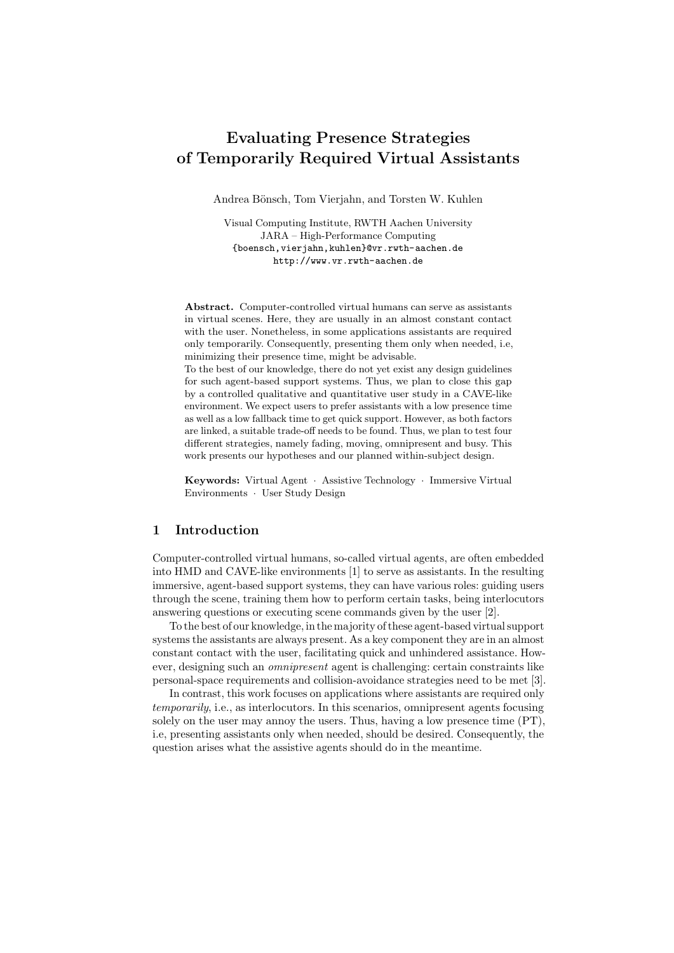# Evaluating Presence Strategies of Temporarily Required Virtual Assistants

Andrea Bönsch, Tom Vierjahn, and Torsten W. Kuhlen

Visual Computing Institute, RWTH Aachen University JARA – High-Performance Computing {boensch,vierjahn,kuhlen}@vr.rwth-aachen.de http://www.vr.rwth-aachen.de

Abstract. Computer-controlled virtual humans can serve as assistants in virtual scenes. Here, they are usually in an almost constant contact with the user. Nonetheless, in some applications assistants are required only temporarily. Consequently, presenting them only when needed, i.e, minimizing their presence time, might be advisable.

To the best of our knowledge, there do not yet exist any design guidelines for such agent-based support systems. Thus, we plan to close this gap by a controlled qualitative and quantitative user study in a CAVE-like environment. We expect users to prefer assistants with a low presence time as well as a low fallback time to get quick support. However, as both factors are linked, a suitable trade-off needs to be found. Thus, we plan to test four different strategies, namely fading, moving, omnipresent and busy. This work presents our hypotheses and our planned within-subject design.

Keywords: Virtual Agent · Assistive Technology · Immersive Virtual Environments · User Study Design

# 1 Introduction

Computer-controlled virtual humans, so-called virtual agents, are often embedded into HMD and CAVE-like environments [1] to serve as assistants. In the resulting immersive, agent-based support systems, they can have various roles: guiding users through the scene, training them how to perform certain tasks, being interlocutors answering questions or executing scene commands given by the user [2].

To the best of our knowledge, in the majority of these agent-based virtual support systems the assistants are always present. As a key component they are in an almost constant contact with the user, facilitating quick and unhindered assistance. However, designing such an omnipresent agent is challenging: certain constraints like personal-space requirements and collision-avoidance strategies need to be met [3].

In contrast, this work focuses on applications where assistants are required only temporarily, i.e., as interlocutors. In this scenarios, omnipresent agents focusing solely on the user may annoy the users. Thus, having a low presence time (PT), i.e, presenting assistants only when needed, should be desired. Consequently, the question arises what the assistive agents should do in the meantime.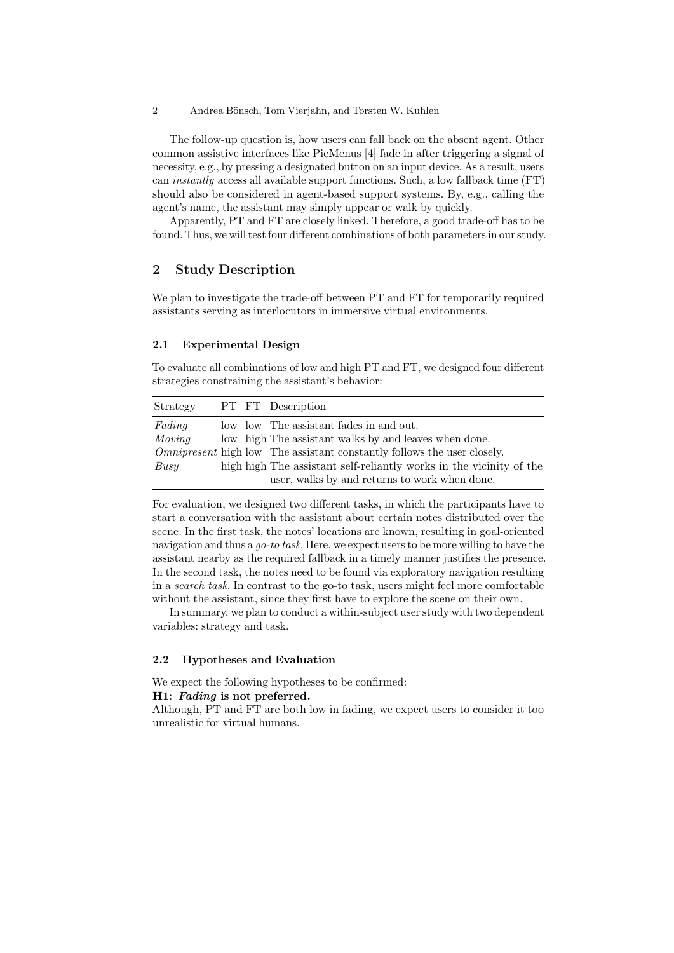2 Andrea Bönsch, Tom Vierjahn, and Torsten W. Kuhlen

The follow-up question is, how users can fall back on the absent agent. Other common assistive interfaces like PieMenus [4] fade in after triggering a signal of necessity, e.g., by pressing a designated button on an input device. As a result, users can instantly access all available support functions. Such, a low fallback time (FT) should also be considered in agent-based support systems. By, e.g., calling the agent's name, the assistant may simply appear or walk by quickly.

Apparently, PT and FT are closely linked. Therefore, a good trade-off has to be found. Thus, we will test four different combinations of both parameters in our study.

# 2 Study Description

We plan to investigate the trade-off between PT and FT for temporarily required assistants serving as interlocutors in immersive virtual environments.

#### 2.1 Experimental Design

To evaluate all combinations of low and high PT and FT, we designed four different strategies constraining the assistant's behavior:

| Strategy |  | PT FT Description                                                              |
|----------|--|--------------------------------------------------------------------------------|
| Fading   |  | low low The assistant fades in and out.                                        |
| Moving   |  | low high The assistant walks by and leaves when done.                          |
|          |  | <i>Omnipresent</i> high low The assistant constantly follows the user closely. |
| Busy     |  | high high The assistant self-reliantly works in the vicinity of the            |
|          |  | user, walks by and returns to work when done.                                  |

For evaluation, we designed two different tasks, in which the participants have to start a conversation with the assistant about certain notes distributed over the scene. In the first task, the notes' locations are known, resulting in goal-oriented navigation and thus a go-to task. Here, we expect users to be more willing to have the assistant nearby as the required fallback in a timely manner justifies the presence. In the second task, the notes need to be found via exploratory navigation resulting in a search task. In contrast to the go-to task, users might feel more comfortable without the assistant, since they first have to explore the scene on their own.

In summary, we plan to conduct a within-subject user study with two dependent variables: strategy and task.

### 2.2 Hypotheses and Evaluation

We expect the following hypotheses to be confirmed:

#### H1: Fading is not preferred.

Although, PT and FT are both low in fading, we expect users to consider it too unrealistic for virtual humans.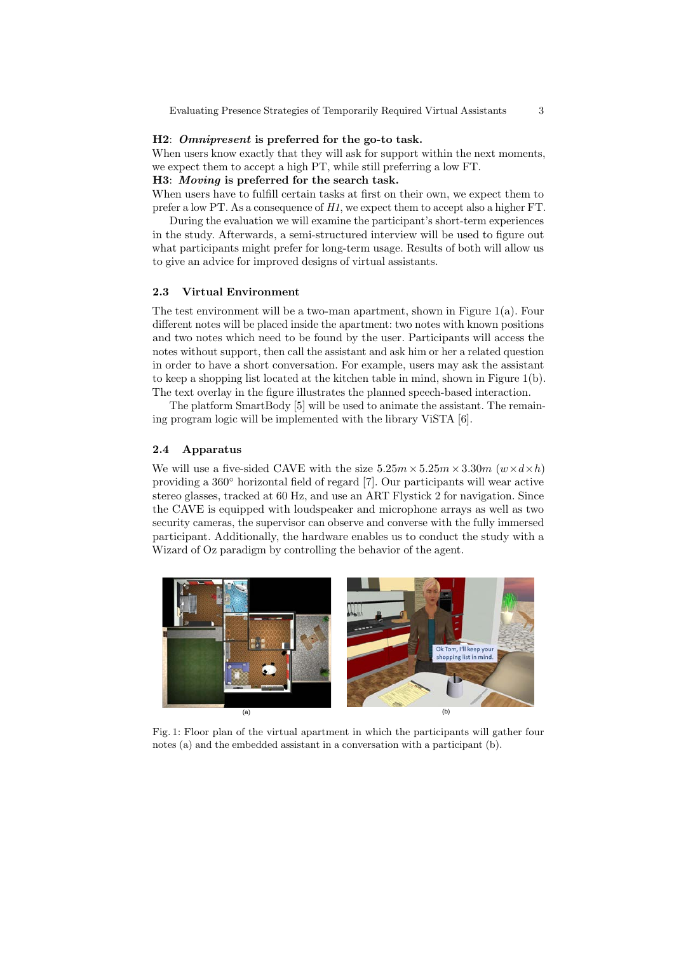#### H2: Omnipresent is preferred for the go-to task.

When users know exactly that they will ask for support within the next moments, we expect them to accept a high PT, while still preferring a low FT.

H3: Moving is preferred for the search task.

When users have to fulfill certain tasks at first on their own, we expect them to prefer a low PT. As a consequence of H1, we expect them to accept also a higher FT.

During the evaluation we will examine the participant's short-term experiences in the study. Afterwards, a semi-structured interview will be used to figure out what participants might prefer for long-term usage. Results of both will allow us to give an advice for improved designs of virtual assistants.

#### 2.3 Virtual Environment

The test environment will be a two-man apartment, shown in Figure 1(a). Four different notes will be placed inside the apartment: two notes with known positions and two notes which need to be found by the user. Participants will access the notes without support, then call the assistant and ask him or her a related question in order to have a short conversation. For example, users may ask the assistant to keep a shopping list located at the kitchen table in mind, shown in Figure 1(b). The text overlay in the figure illustrates the planned speech-based interaction.

The platform SmartBody [5] will be used to animate the assistant. The remaining program logic will be implemented with the library ViSTA [6].

#### 2.4 Apparatus

We will use a five-sided CAVE with the size  $5.25m \times 5.25m \times 3.30m$  ( $w \times d \times h$ ) providing a 360◦ horizontal field of regard [7]. Our participants will wear active stereo glasses, tracked at 60 Hz, and use an ART Flystick 2 for navigation. Since the CAVE is equipped with loudspeaker and microphone arrays as well as two security cameras, the supervisor can observe and converse with the fully immersed participant. Additionally, the hardware enables us to conduct the study with a Wizard of Oz paradigm by controlling the behavior of the agent.



Fig. 1: Floor plan of the virtual apartment in which the participants will gather four notes (a) and the embedded assistant in a conversation with a participant (b).